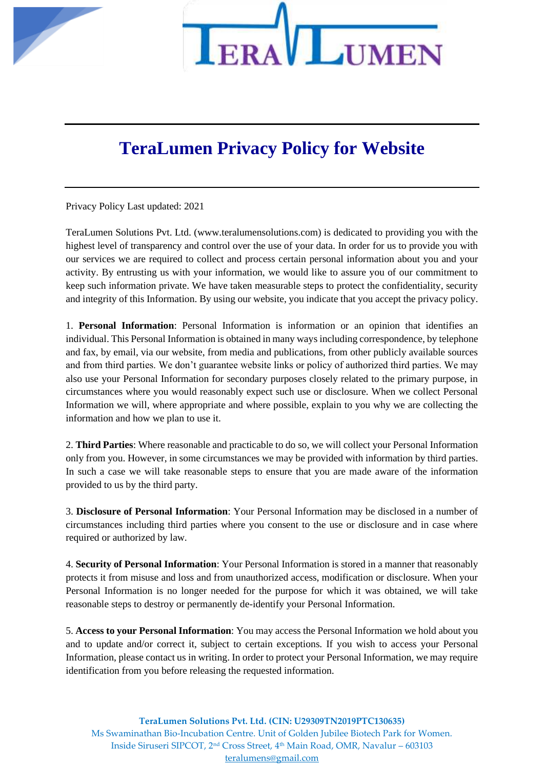



## **TeraLumen Privacy Policy for Website**

Privacy Policy Last updated: 2021

TeraLumen Solutions Pvt. Ltd. (www.teralumensolutions.com) is dedicated to providing you with the highest level of transparency and control over the use of your data. In order for us to provide you with our services we are required to collect and process certain personal information about you and your activity. By entrusting us with your information, we would like to assure you of our commitment to keep such information private. We have taken measurable steps to protect the confidentiality, security and integrity of this Information. By using our website, you indicate that you accept the privacy policy.

1. **Personal Information**: Personal Information is information or an opinion that identifies an individual. This Personal Information is obtained in many ways including correspondence, by telephone and fax, by email, via our website, from media and publications, from other publicly available sources and from third parties. We don't guarantee website links or policy of authorized third parties. We may also use your Personal Information for secondary purposes closely related to the primary purpose, in circumstances where you would reasonably expect such use or disclosure. When we collect Personal Information we will, where appropriate and where possible, explain to you why we are collecting the information and how we plan to use it.

2. **Third Parties**: Where reasonable and practicable to do so, we will collect your Personal Information only from you. However, in some circumstances we may be provided with information by third parties. In such a case we will take reasonable steps to ensure that you are made aware of the information provided to us by the third party.

3. **Disclosure of Personal Information**: Your Personal Information may be disclosed in a number of circumstances including third parties where you consent to the use or disclosure and in case where required or authorized by law.

4. **Security of Personal Information**: Your Personal Information is stored in a manner that reasonably protects it from misuse and loss and from unauthorized access, modification or disclosure. When your Personal Information is no longer needed for the purpose for which it was obtained, we will take reasonable steps to destroy or permanently de-identify your Personal Information.

5. **Access to your Personal Information**: You may access the Personal Information we hold about you and to update and/or correct it, subject to certain exceptions. If you wish to access your Personal Information, please contact us in writing. In order to protect your Personal Information, we may require identification from you before releasing the requested information.

**TeraLumen Solutions Pvt. Ltd. (CIN: U29309TN2019PTC130635)** Ms Swaminathan Bio-Incubation Centre. Unit of Golden Jubilee Biotech Park for Women. Inside Siruseri SIPCOT, 2nd Cross Street, 4th Main Road, OMR, Navalur – 603103 [teralumens@gmail.com](mailto:teralumens@gmail.com)